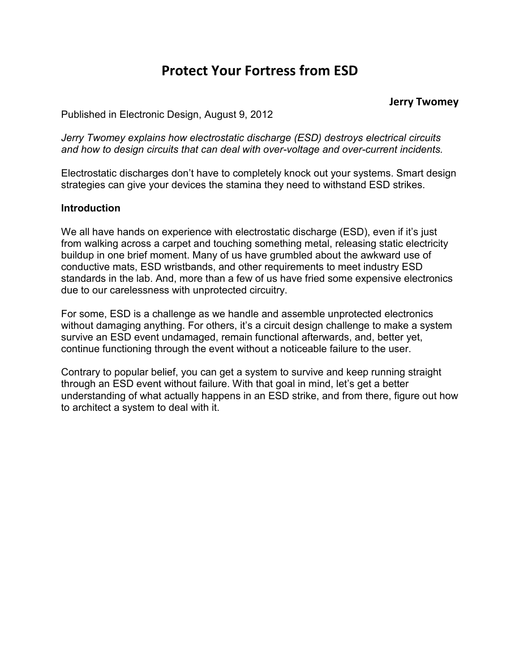# **Protect Your Fortress from ESD**

#### **Jerry Twomey**

Published in Electronic Design, August 9, 2012

*Jerry Twomey explains how electrostatic discharge (ESD) destroys electrical circuits and how to design circuits that can deal with over-voltage and over-current incidents.*

Electrostatic discharges don't have to completely knock out your systems. Smart design strategies can give your devices the stamina they need to withstand ESD strikes.

#### **Introduction**

We all have hands on experience with electrostatic discharge (ESD), even if it's just from walking across a carpet and touching something metal, releasing static electricity buildup in one brief moment. Many of us have grumbled about the awkward use of conductive mats, ESD wristbands, and other requirements to meet industry ESD standards in the lab. And, more than a few of us have fried some expensive electronics due to our carelessness with unprotected circuitry.

For some, ESD is a challenge as we handle and assemble unprotected electronics without damaging anything. For others, it's a circuit design challenge to make a system survive an ESD event undamaged, remain functional afterwards, and, better yet, continue functioning through the event without a noticeable failure to the user.

Contrary to popular belief, you can get a system to survive and keep running straight through an ESD event without failure. With that goal in mind, let's get a better understanding of what actually happens in an ESD strike, and from there, figure out how to architect a system to deal with it.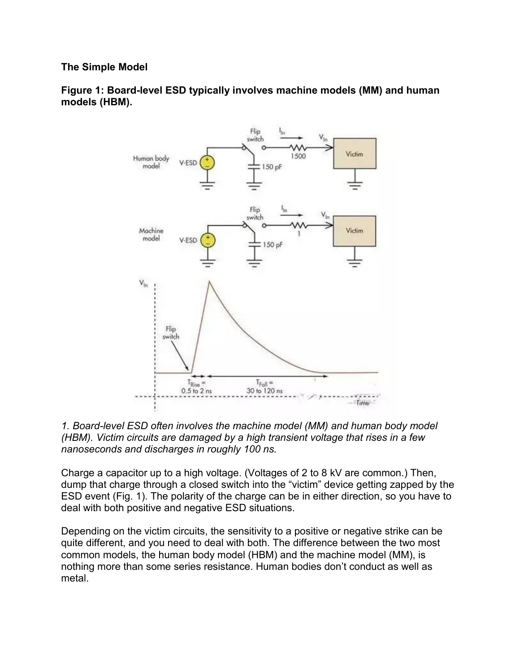## **The Simple Model**

**Figure 1: Board-level ESD typically involves machine models (MM) and human models (HBM).**





Charge a capacitor up to a high voltage. (Voltages of 2 to 8 kV are common.) Then, dump that charge through a closed switch into the "victim" device getting zapped by the ESD event (Fig. 1). The polarity of the charge can be in either direction, so you have to deal with both positive and negative ESD situations.

Depending on the victim circuits, the sensitivity to a positive or negative strike can be quite different, and you need to deal with both. The difference between the two most common models, the human body model (HBM) and the machine model (MM), is nothing more than some series resistance. Human bodies don't conduct as well as metal.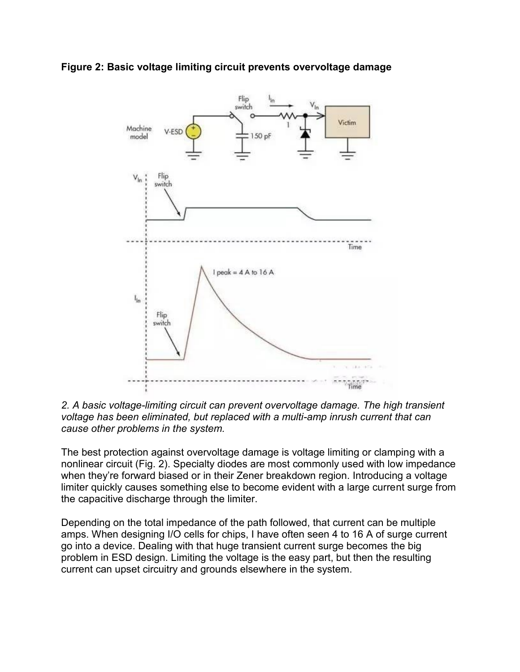



*2. A basic voltage-limiting circuit can prevent overvoltage damage. The high transient voltage has been eliminated, but replaced with a multi-amp inrush current that can cause other problems in the system.*

The best protection against overvoltage damage is voltage limiting or clamping with a nonlinear circuit (Fig. 2). Specialty diodes are most commonly used with low impedance when they're forward biased or in their Zener breakdown region. Introducing a voltage limiter quickly causes something else to become evident with a large current surge from the capacitive discharge through the limiter.

Depending on the total impedance of the path followed, that current can be multiple amps. When designing I/O cells for chips, I have often seen 4 to 16 A of surge current go into a device. Dealing with that huge transient current surge becomes the big problem in ESD design. Limiting the voltage is the easy part, but then the resulting current can upset circuitry and grounds elsewhere in the system.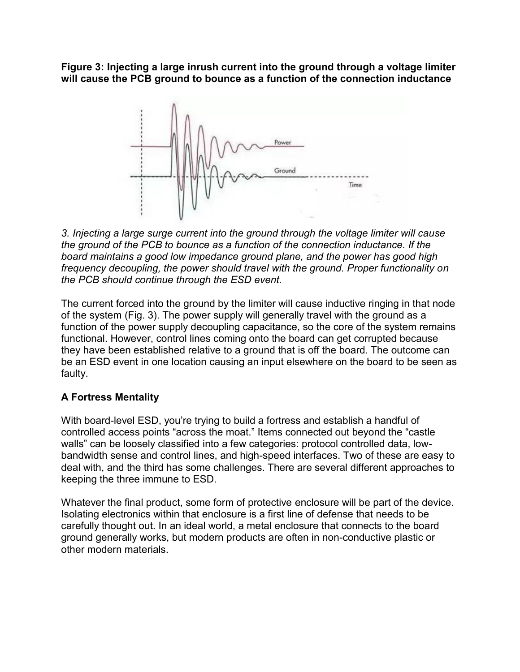**Figure 3: Injecting a large inrush current into the ground through a voltage limiter will cause the PCB ground to bounce as a function of the connection inductance**



*3. Injecting a large surge current into the ground through the voltage limiter will cause the ground of the PCB to bounce as a function of the connection inductance. If the board maintains a good low impedance ground plane, and the power has good high frequency decoupling, the power should travel with the ground. Proper functionality on the PCB should continue through the ESD event.*

The current forced into the ground by the limiter will cause inductive ringing in that node of the system (Fig. 3). The power supply will generally travel with the ground as a function of the power supply decoupling capacitance, so the core of the system remains functional. However, control lines coming onto the board can get corrupted because they have been established relative to a ground that is off the board. The outcome can be an ESD event in one location causing an input elsewhere on the board to be seen as faulty.

# **A Fortress Mentality**

With board-level ESD, you're trying to build a fortress and establish a handful of controlled access points "across the moat." Items connected out beyond the "castle walls" can be loosely classified into a few categories: protocol controlled data, lowbandwidth sense and control lines, and high-speed interfaces. Two of these are easy to deal with, and the third has some challenges. There are several different approaches to keeping the three immune to ESD.

Whatever the final product, some form of protective enclosure will be part of the device. Isolating electronics within that enclosure is a first line of defense that needs to be carefully thought out. In an ideal world, a metal enclosure that connects to the board ground generally works, but modern products are often in non-conductive plastic or other modern materials.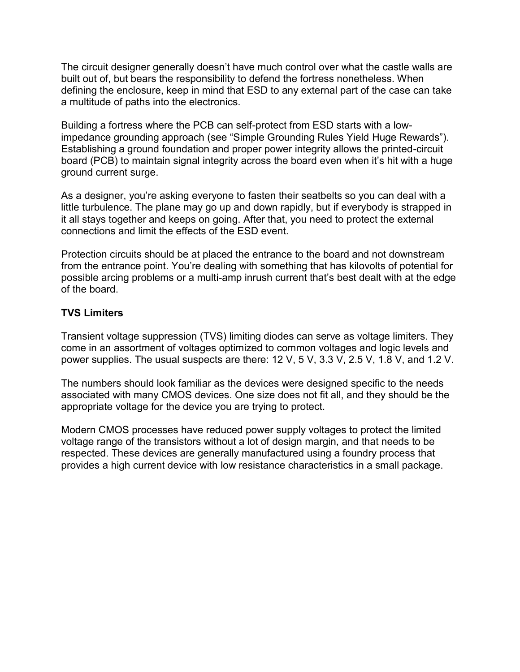The circuit designer generally doesn't have much control over what the castle walls are built out of, but bears the responsibility to defend the fortress nonetheless. When defining the enclosure, keep in mind that ESD to any external part of the case can take a multitude of paths into the electronics.

Building a fortress where the PCB can self-protect from ESD starts with a lowimpedance grounding approach (see "Simple Grounding Rules Yield Huge Rewards"). Establishing a ground foundation and proper power integrity allows the printed-circuit board (PCB) to maintain signal integrity across the board even when it's hit with a huge ground current surge.

As a designer, you're asking everyone to fasten their seatbelts so you can deal with a little turbulence. The plane may go up and down rapidly, but if everybody is strapped in it all stays together and keeps on going. After that, you need to protect the external connections and limit the effects of the ESD event.

Protection circuits should be at placed the entrance to the board and not downstream from the entrance point. You're dealing with something that has kilovolts of potential for possible arcing problems or a multi-amp inrush current that's best dealt with at the edge of the board.

## **TVS Limiters**

Transient voltage suppression (TVS) limiting diodes can serve as voltage limiters. They come in an assortment of voltages optimized to common voltages and logic levels and power supplies. The usual suspects are there: 12 V, 5 V, 3.3 V, 2.5 V, 1.8 V, and 1.2 V.

The numbers should look familiar as the devices were designed specific to the needs associated with many CMOS devices. One size does not fit all, and they should be the appropriate voltage for the device you are trying to protect.

Modern CMOS processes have reduced power supply voltages to protect the limited voltage range of the transistors without a lot of design margin, and that needs to be respected. These devices are generally manufactured using a foundry process that provides a high current device with low resistance characteristics in a small package.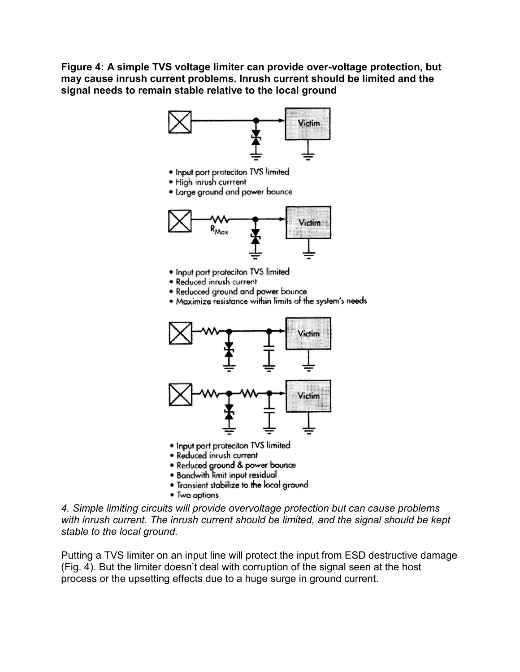**Figure 4: A simple TVS voltage limiter can provide over-voltage protection, but may cause inrush current problems. Inrush current should be limited and the signal needs to remain stable relative to the local ground**



- · Input port proteciton TVS limited
- · High inrush currrent
- Large ground and power bounce



- Input port proteciton TVS limited
- · Reduced inrush current
- Reducced ground and power bounce
- \* Maximize resistance within limits of the system's needs



- · Input port proteciton TVS limited
- Reduced inrush current
- Reduced ground & power bounce
- . Bandwith limit input residual
- Transient stabilize to the local ground
- Two options

*4. Simple limiting circuits will provide overvoltage protection but can cause problems with inrush current. The inrush current should be limited, and the signal should be kept stable to the local ground.*

Putting a TVS limiter on an input line will protect the input from ESD destructive damage (Fig. 4). But the limiter doesn't deal with corruption of the signal seen at the host process or the upsetting effects due to a huge surge in ground current.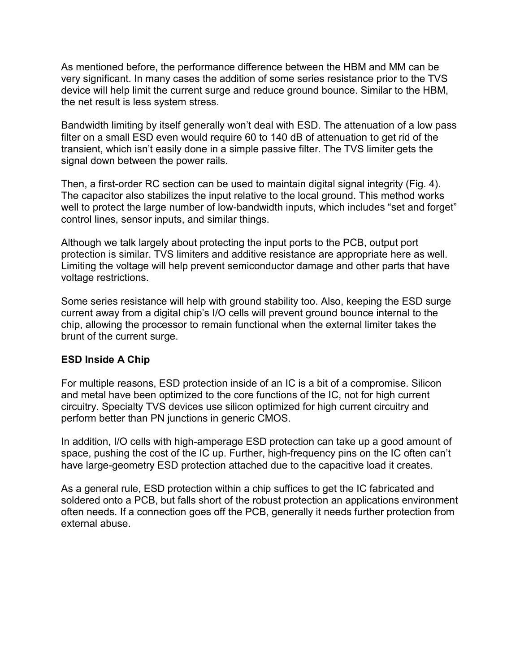As mentioned before, the performance difference between the HBM and MM can be very significant. In many cases the addition of some series resistance prior to the TVS device will help limit the current surge and reduce ground bounce. Similar to the HBM, the net result is less system stress.

Bandwidth limiting by itself generally won't deal with ESD. The attenuation of a low pass filter on a small ESD even would require 60 to 140 dB of attenuation to get rid of the transient, which isn't easily done in a simple passive filter. The TVS limiter gets the signal down between the power rails.

Then, a first-order RC section can be used to maintain digital signal integrity (Fig. 4). The capacitor also stabilizes the input relative to the local ground. This method works well to protect the large number of low-bandwidth inputs, which includes "set and forget" control lines, sensor inputs, and similar things.

Although we talk largely about protecting the input ports to the PCB, output port protection is similar. TVS limiters and additive resistance are appropriate here as well. Limiting the voltage will help prevent semiconductor damage and other parts that have voltage restrictions.

Some series resistance will help with ground stability too. Also, keeping the ESD surge current away from a digital chip's I/O cells will prevent ground bounce internal to the chip, allowing the processor to remain functional when the external limiter takes the brunt of the current surge.

## **ESD Inside A Chip**

For multiple reasons, ESD protection inside of an IC is a bit of a compromise. Silicon and metal have been optimized to the core functions of the IC, not for high current circuitry. Specialty TVS devices use silicon optimized for high current circuitry and perform better than PN junctions in generic CMOS.

In addition, I/O cells with high-amperage ESD protection can take up a good amount of space, pushing the cost of the IC up. Further, high-frequency pins on the IC often can't have large-geometry ESD protection attached due to the capacitive load it creates.

As a general rule, ESD protection within a chip suffices to get the IC fabricated and soldered onto a PCB, but falls short of the robust protection an applications environment often needs. If a connection goes off the PCB, generally it needs further protection from external abuse.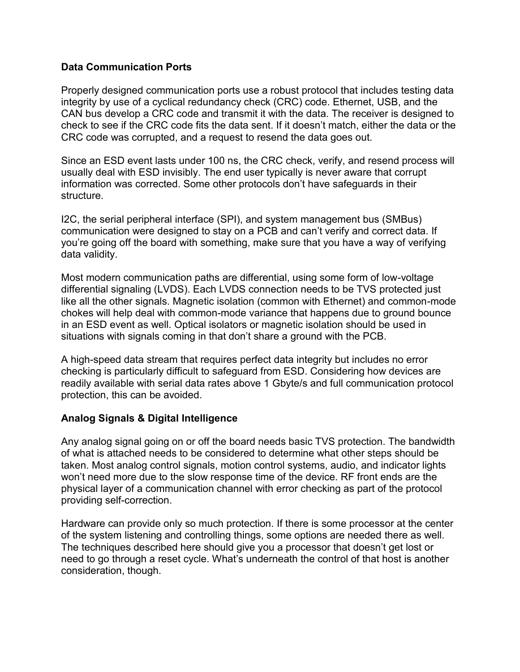## **Data Communication Ports**

Properly designed communication ports use a robust protocol that includes testing data integrity by use of a cyclical redundancy check (CRC) code. Ethernet, USB, and the CAN bus develop a CRC code and transmit it with the data. The receiver is designed to check to see if the CRC code fits the data sent. If it doesn't match, either the data or the CRC code was corrupted, and a request to resend the data goes out.

Since an ESD event lasts under 100 ns, the CRC check, verify, and resend process will usually deal with ESD invisibly. The end user typically is never aware that corrupt information was corrected. Some other protocols don't have safeguards in their structure.

I2C, the serial peripheral interface (SPI), and system management bus (SMBus) communication were designed to stay on a PCB and can't verify and correct data. If you're going off the board with something, make sure that you have a way of verifying data validity.

Most modern communication paths are differential, using some form of low-voltage differential signaling (LVDS). Each LVDS connection needs to be TVS protected just like all the other signals. Magnetic isolation (common with Ethernet) and common-mode chokes will help deal with common-mode variance that happens due to ground bounce in an ESD event as well. Optical isolators or magnetic isolation should be used in situations with signals coming in that don't share a ground with the PCB.

A high-speed data stream that requires perfect data integrity but includes no error checking is particularly difficult to safeguard from ESD. Considering how devices are readily available with serial data rates above 1 Gbyte/s and full communication protocol protection, this can be avoided.

## **Analog Signals & Digital Intelligence**

Any analog signal going on or off the board needs basic TVS protection. The bandwidth of what is attached needs to be considered to determine what other steps should be taken. Most analog control signals, motion control systems, audio, and indicator lights won't need more due to the slow response time of the device. RF front ends are the physical layer of a communication channel with error checking as part of the protocol providing self-correction.

Hardware can provide only so much protection. If there is some processor at the center of the system listening and controlling things, some options are needed there as well. The techniques described here should give you a processor that doesn't get lost or need to go through a reset cycle. What's underneath the control of that host is another consideration, though.